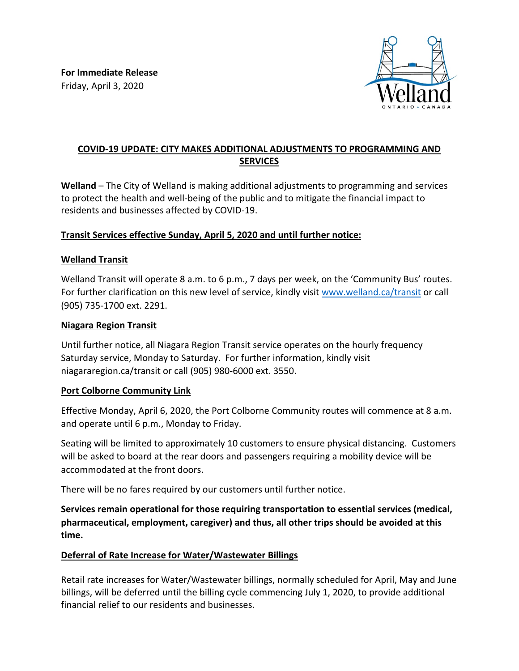

# **COVID-19 UPDATE: CITY MAKES ADDITIONAL ADJUSTMENTS TO PROGRAMMING AND SERVICES**

**Welland** – The City of Welland is making additional adjustments to programming and services to protect the health and well-being of the public and to mitigate the financial impact to residents and businesses affected by COVID-19.

# **Transit Services effective Sunday, April 5, 2020 and until further notice:**

#### **Welland Transit**

Welland Transit will operate 8 a.m. to 6 p.m., 7 days per week, on the 'Community Bus' routes. For further clarification on this new level of service, kindly visit [www.welland.ca/transit](http://www.welland.ca/transit) or call (905) 735-1700 ext. 2291.

#### **Niagara Region Transit**

Until further notice, all Niagara Region Transit service operates on the hourly frequency Saturday service, Monday to Saturday. For further information, kindly visit niagararegion.ca/transit or call (905) 980-6000 ext. 3550.

#### **Port Colborne Community Link**

Effective Monday, April 6, 2020, the Port Colborne Community routes will commence at 8 a.m. and operate until 6 p.m., Monday to Friday.

Seating will be limited to approximately 10 customers to ensure physical distancing. Customers will be asked to board at the rear doors and passengers requiring a mobility device will be accommodated at the front doors.

There will be no fares required by our customers until further notice.

**Services remain operational for those requiring transportation to essential services (medical, pharmaceutical, employment, caregiver) and thus, all other trips should be avoided at this time.**

#### **Deferral of Rate Increase for Water/Wastewater Billings**

Retail rate increases for Water/Wastewater billings, normally scheduled for April, May and June billings, will be deferred until the billing cycle commencing July 1, 2020, to provide additional financial relief to our residents and businesses.